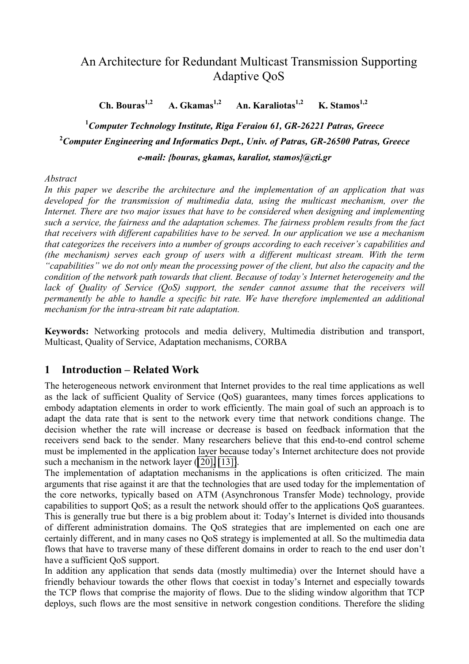# An Architecture for Redundant Multicast Transmission Supporting Adaptive QoS

**Ch. Bouras**<sup>1,2</sup> A. Gkamas<sup>1,2</sup> An. Karaliotas<sup>1,2</sup> K. Stamos<sup>1,2</sup>

**1** *Computer Technology Institute, Riga Feraiou 61, GR-26221 Patras, Greece*  **2** *Computer Engineering and Informatics Dept., Univ. of Patras, GR-26500 Patras, Greece e-mail: {bouras, gkamas, karaliot, stamos}@cti.gr* 

#### *Abstract*

*In this paper we describe the architecture and the implementation of an application that was developed for the transmission of multimedia data, using the multicast mechanism, over the Internet. There are two major issues that have to be considered when designing and implementing such a service, the fairness and the adaptation schemes. The fairness problem results from the fact that receivers with different capabilities have to be served. In our application we use a mechanism that categorizes the receivers into a number of groups according to each receiver's capabilities and (the mechanism) serves each group of users with a different multicast stream. With the term "capabilities" we do not only mean the processing power of the client, but also the capacity and the condition of the network path towards that client. Because of today's Internet heterogeneity and the lack of Quality of Service (QoS) support, the sender cannot assume that the receivers will permanently be able to handle a specific bit rate. We have therefore implemented an additional mechanism for the intra-stream bit rate adaptation.* 

**Keywords:** Networking protocols and media delivery, Multimedia distribution and transport, Multicast, Quality of Service, Adaptation mechanisms, CORBA

## **1 Introduction – Related Work**

The heterogeneous network environment that Internet provides to the real time applications as well as the lack of sufficient Quality of Service (QoS) guarantees, many times forces applications to embody adaptation elements in order to work efficiently. The main goal of such an approach is to adapt the data rate that is sent to the network every time that network conditions change. The decision whether the rate will increase or decrease is based on feedback information that the receivers send back to the sender. Many researchers believe that this end-to-end control scheme must be implemented in the application layer because today's Internet architecture does not provide such a mechanism in the network layer ([\[20\],](#page-9-0) [\[13\]\)](#page-9-0).

The implementation of adaptation mechanisms in the applications is often criticized. The main arguments that rise against it are that the technologies that are used today for the implementation of the core networks, typically based on ATM (Asynchronous Transfer Mode) technology, provide capabilities to support QoS; as a result the network should offer to the applications QoS guarantees. This is generally true but there is a big problem about it: Today's Internet is divided into thousands of different administration domains. The QoS strategies that are implemented on each one are certainly different, and in many cases no QoS strategy is implemented at all. So the multimedia data flows that have to traverse many of these different domains in order to reach to the end user don't have a sufficient QoS support.

In addition any application that sends data (mostly multimedia) over the Internet should have a friendly behaviour towards the other flows that coexist in today's Internet and especially towards the TCP flows that comprise the majority of flows. Due to the sliding window algorithm that TCP deploys, such flows are the most sensitive in network congestion conditions. Therefore the sliding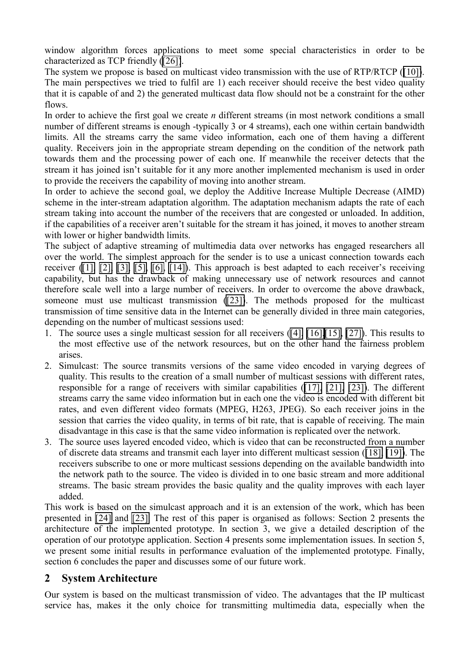window algorithm forces applications to meet some special characteristics in order to be characterized as TCP friendly [\(\[26\]\)](#page-9-0).

The system we propose is based on multicast video transmission with the use of RTP/RTCP ([\[10\]\)](#page-9-0). The main perspectives we tried to fulfil are 1) each receiver should receive the best video quality that it is capable of and 2) the generated multicast data flow should not be a constraint for the other flows.

In order to achieve the first goal we create *n* different streams (in most network conditions a small number of different streams is enough -typically 3 or 4 streams), each one within certain bandwidth limits. All the streams carry the same video information, each one of them having a different quality. Receivers join in the appropriate stream depending on the condition of the network path towards them and the processing power of each one. If meanwhile the receiver detects that the stream it has joined isn't suitable for it any more another implemented mechanism is used in order to provide the receivers the capability of moving into another stream.

In order to achieve the second goal, we deploy the Additive Increase Multiple Decrease (AIMD) scheme in the inter-stream adaptation algorithm. The adaptation mechanism adapts the rate of each stream taking into account the number of the receivers that are congested or unloaded. In addition, if the capabilities of a receiver aren't suitable for the stream it has joined, it moves to another stream with lower or higher bandwidth limits.

The subject of adaptive streaming of multimedia data over networks has engaged researchers all over the world. The simplest approach for the sender is to use a unicast connection towards each receiver [\(\[1\],](#page-8-0) [\[2\],](#page-8-0) [\[3\],](#page-9-0) [\[5\],](#page-9-0) [\[6\],](#page-9-0) [\[14\]\)](#page-9-0). This approach is best adapted to each receiver's receiving capability, but has the drawback of making unnecessary use of network resources and cannot therefore scale well into a large number of receivers. In order to overcome the above drawback, someone must use multicast transmission [\(\[23\]\)](#page-9-0). The methods proposed for the multicast transmission of time sensitive data in the Internet can be generally divided in three main categories, depending on the number of multicast sessions used:

- 1. The source uses a single multicast session for all receivers [\(\[4\],](#page-9-0) [\[16\],\[15\],](#page-9-0) [\[27\]\)](#page-9-0). This results to the most effective use of the network resources, but on the other hand the fairness problem arises.
- 2. Simulcast: The source transmits versions of the same video encoded in varying degrees of quality. This results to the creation of a small number of multicast sessions with different rates, responsible for a range of receivers with similar capabilities ([\[17\],](#page-9-0) [\[21\],](#page-9-0) [\[23\]\)](#page-9-0). The different streams carry the same video information but in each one the video is encoded with different bit rates, and even different video formats (MPEG, H263, JPEG). So each receiver joins in the session that carries the video quality, in terms of bit rate, that is capable of receiving. The main disadvantage in this case is that the same video information is replicated over the network.
- 3. The source uses layered encoded video, which is video that can be reconstructed from a number of discrete data streams and transmit each layer into different multicast session ([\[18\],](#page-9-0) [\[19\]\)](#page-9-0). The receivers subscribe to one or more multicast sessions depending on the available bandwidth into the network path to the source. The video is divided in to one basic stream and more additional streams. The basic stream provides the basic quality and the quality improves with each layer added.

This work is based on the simulcast approach and it is an extension of the work, which has been presented in [\[24\]](#page-9-0) and [\[23\].](#page-9-0) The rest of this paper is organised as follows: Section 2 presents the architecture of the implemented prototype. In section 3, we give a detailed description of the operation of our prototype application. Section 4 presents some implementation issues. In section 5, we present some initial results in performance evaluation of the implemented prototype. Finally, section 6 concludes the paper and discusses some of our future work.

### **2 System Architecture**

Our system is based on the multicast transmission of video. The advantages that the IP multicast service has, makes it the only choice for transmitting multimedia data, especially when the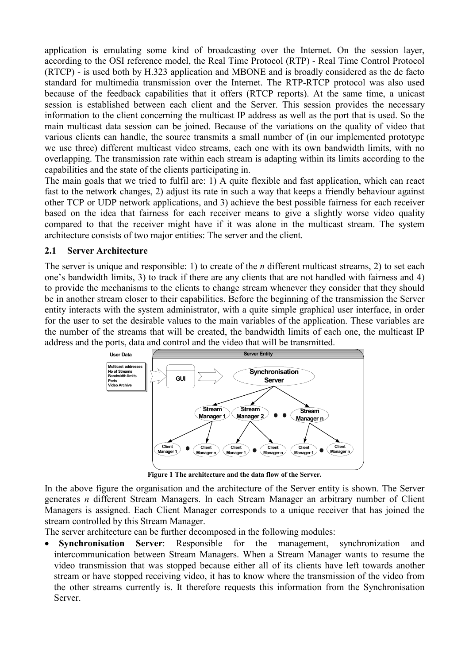application is emulating some kind of broadcasting over the Internet. On the session layer, according to the OSI reference model, the Real Time Protocol (RTP) - Real Time Control Protocol (RTCP) - is used both by H.323 application and MBONE and is broadly considered as the de facto standard for multimedia transmission over the Internet. The RTP-RTCP protocol was also used because of the feedback capabilities that it offers (RTCP reports). At the same time, a unicast session is established between each client and the Server. This session provides the necessary information to the client concerning the multicast IP address as well as the port that is used. So the main multicast data session can be joined. Because of the variations on the quality of video that various clients can handle, the source transmits a small number of (in our implemented prototype we use three) different multicast video streams, each one with its own bandwidth limits, with no overlapping. The transmission rate within each stream is adapting within its limits according to the capabilities and the state of the clients participating in.

The main goals that we tried to fulfil are: 1) A quite flexible and fast application, which can react fast to the network changes, 2) adjust its rate in such a way that keeps a friendly behaviour against other TCP or UDP network applications, and 3) achieve the best possible fairness for each receiver based on the idea that fairness for each receiver means to give a slightly worse video quality compared to that the receiver might have if it was alone in the multicast stream. The system architecture consists of two major entities: The server and the client.

#### **2.1 Server Architecture**

The server is unique and responsible: 1) to create of the *n* different multicast streams, 2) to set each one's bandwidth limits, 3) to track if there are any clients that are not handled with fairness and 4) to provide the mechanisms to the clients to change stream whenever they consider that they should be in another stream closer to their capabilities. Before the beginning of the transmission the Server entity interacts with the system administrator, with a quite simple graphical user interface, in order for the user to set the desirable values to the main variables of the application. These variables are the number of the streams that will be created, the bandwidth limits of each one, the multicast IP address and the ports, data and control and the video that will be transmitted.



**Figure 1 The architecture and the data flow of the Server.** 

In the above figure the organisation and the architecture of the Server entity is shown. The Server generates *n* different Stream Managers. In each Stream Manager an arbitrary number of Client Managers is assigned. Each Client Manager corresponds to a unique receiver that has joined the stream controlled by this Stream Manager.

The server architecture can be further decomposed in the following modules:

• **Synchronisation Server**: Responsible for the management, synchronization and intercommunication between Stream Managers. When a Stream Manager wants to resume the video transmission that was stopped because either all of its clients have left towards another stream or have stopped receiving video, it has to know where the transmission of the video from the other streams currently is. It therefore requests this information from the Synchronisation Server.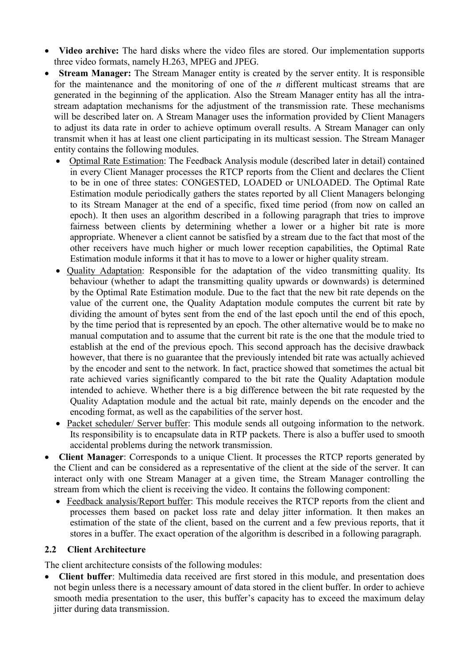- **Video archive:** The hard disks where the video files are stored. Our implementation supports three video formats, namely H.263, MPEG and JPEG.
- **Stream Manager:** The Stream Manager entity is created by the server entity. It is responsible for the maintenance and the monitoring of one of the *n* different multicast streams that are generated in the beginning of the application. Also the Stream Manager entity has all the intrastream adaptation mechanisms for the adjustment of the transmission rate. These mechanisms will be described later on. A Stream Manager uses the information provided by Client Managers to adjust its data rate in order to achieve optimum overall results. A Stream Manager can only transmit when it has at least one client participating in its multicast session. The Stream Manager entity contains the following modules.
	- Optimal Rate Estimation: The Feedback Analysis module (described later in detail) contained in every Client Manager processes the RTCP reports from the Client and declares the Client to be in one of three states: CONGESTED, LOADED or UNLOADED. The Optimal Rate Estimation module periodically gathers the states reported by all Client Managers belonging to its Stream Manager at the end of a specific, fixed time period (from now on called an epoch). It then uses an algorithm described in a following paragraph that tries to improve fairness between clients by determining whether a lower or a higher bit rate is more appropriate. Whenever a client cannot be satisfied by a stream due to the fact that most of the other receivers have much higher or much lower reception capabilities, the Optimal Rate Estimation module informs it that it has to move to a lower or higher quality stream.
	- Quality Adaptation: Responsible for the adaptation of the video transmitting quality. Its behaviour (whether to adapt the transmitting quality upwards or downwards) is determined by the Optimal Rate Estimation module. Due to the fact that the new bit rate depends on the value of the current one, the Quality Adaptation module computes the current bit rate by dividing the amount of bytes sent from the end of the last epoch until the end of this epoch, by the time period that is represented by an epoch. The other alternative would be to make no manual computation and to assume that the current bit rate is the one that the module tried to establish at the end of the previous epoch. This second approach has the decisive drawback however, that there is no guarantee that the previously intended bit rate was actually achieved by the encoder and sent to the network. In fact, practice showed that sometimes the actual bit rate achieved varies significantly compared to the bit rate the Quality Adaptation module intended to achieve. Whether there is a big difference between the bit rate requested by the Quality Adaptation module and the actual bit rate, mainly depends on the encoder and the encoding format, as well as the capabilities of the server host.
	- Packet scheduler/ Server buffer: This module sends all outgoing information to the network. Its responsibility is to encapsulate data in RTP packets. There is also a buffer used to smooth accidental problems during the network transmission.
- **Client Manager**: Corresponds to a unique Client. It processes the RTCP reports generated by the Client and can be considered as a representative of the client at the side of the server. It can interact only with one Stream Manager at a given time, the Stream Manager controlling the stream from which the client is receiving the video. It contains the following component:
	- Feedback analysis/Report buffer: This module receives the RTCP reports from the client and processes them based on packet loss rate and delay jitter information. It then makes an estimation of the state of the client, based on the current and a few previous reports, that it stores in a buffer. The exact operation of the algorithm is described in a following paragraph.

#### **2.2 Client Architecture**

The client architecture consists of the following modules:

• **Client buffer**: Multimedia data received are first stored in this module, and presentation does not begin unless there is a necessary amount of data stored in the client buffer. In order to achieve smooth media presentation to the user, this buffer's capacity has to exceed the maximum delay jitter during data transmission.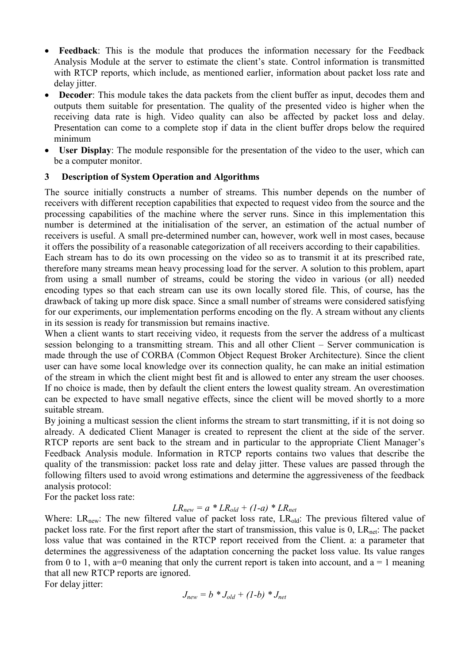- **Feedback**: This is the module that produces the information necessary for the Feedback Analysis Module at the server to estimate the client's state. Control information is transmitted with RTCP reports, which include, as mentioned earlier, information about packet loss rate and delay *iitter*.
- **Decoder**: This module takes the data packets from the client buffer as input, decodes them and outputs them suitable for presentation. The quality of the presented video is higher when the receiving data rate is high. Video quality can also be affected by packet loss and delay. Presentation can come to a complete stop if data in the client buffer drops below the required minimum
- **User Display**: The module responsible for the presentation of the video to the user, which can be a computer monitor.

#### **3 Description of System Operation and Algorithms**

The source initially constructs a number of streams. This number depends on the number of receivers with different reception capabilities that expected to request video from the source and the processing capabilities of the machine where the server runs. Since in this implementation this number is determined at the initialisation of the server, an estimation of the actual number of receivers is useful. A small pre-determined number can, however, work well in most cases, because it offers the possibility of a reasonable categorization of all receivers according to their capabilities.

Each stream has to do its own processing on the video so as to transmit it at its prescribed rate, therefore many streams mean heavy processing load for the server. A solution to this problem, apart from using a small number of streams, could be storing the video in various (or all) needed encoding types so that each stream can use its own locally stored file. This, of course, has the drawback of taking up more disk space. Since a small number of streams were considered satisfying for our experiments, our implementation performs encoding on the fly. A stream without any clients in its session is ready for transmission but remains inactive.

When a client wants to start receiving video, it requests from the server the address of a multicast session belonging to a transmitting stream. This and all other Client – Server communication is made through the use of CORBA (Common Object Request Broker Architecture). Since the client user can have some local knowledge over its connection quality, he can make an initial estimation of the stream in which the client might best fit and is allowed to enter any stream the user chooses. If no choice is made, then by default the client enters the lowest quality stream. An overestimation can be expected to have small negative effects, since the client will be moved shortly to a more suitable stream.

By joining a multicast session the client informs the stream to start transmitting, if it is not doing so already. A dedicated Client Manager is created to represent the client at the side of the server. RTCP reports are sent back to the stream and in particular to the appropriate Client Manager's Feedback Analysis module. Information in RTCP reports contains two values that describe the quality of the transmission: packet loss rate and delay jitter. These values are passed through the following filters used to avoid wrong estimations and determine the aggressiveness of the feedback analysis protocol:

For the packet loss rate:

$$
LR_{new} = a * LR_{old} + (1-a) * LR_{net}
$$

Where:  $LR<sub>new</sub>$ : The new filtered value of packet loss rate,  $LR<sub>old</sub>$ : The previous filtered value of packet loss rate. For the first report after the start of transmission, this value is  $0$ , LR<sub>net</sub>: The packet loss value that was contained in the RTCP report received from the Client. a: a parameter that determines the aggressiveness of the adaptation concerning the packet loss value. Its value ranges from 0 to 1, with a=0 meaning that only the current report is taken into account, and  $a = 1$  meaning that all new RTCP reports are ignored.

For delay jitter:

$$
J_{new} = b * J_{old} + (1-b) * J_{net}
$$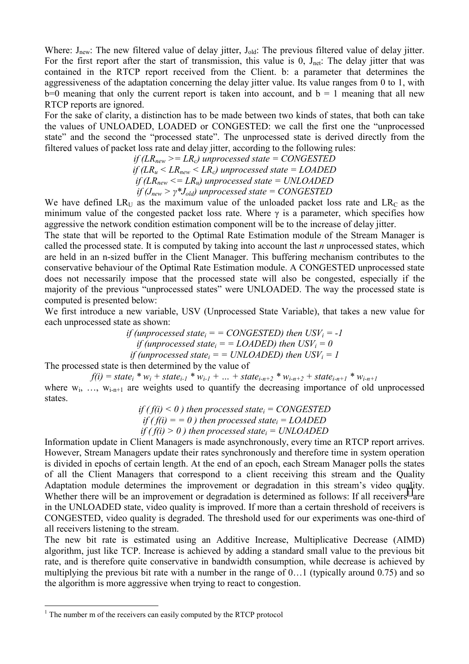Where:  $J_{\text{new}}$ : The new filtered value of delay jitter,  $J_{\text{old}}$ : The previous filtered value of delay jitter. For the first report after the start of transmission, this value is 0,  $J_{net}$ : The delay jitter that was contained in the RTCP report received from the Client. b: a parameter that determines the aggressiveness of the adaptation concerning the delay jitter value. Its value ranges from 0 to 1, with  $b=0$  meaning that only the current report is taken into account, and  $b = 1$  meaning that all new RTCP reports are ignored.

For the sake of clarity, a distinction has to be made between two kinds of states, that both can take the values of UNLOADED, LOADED or CONGESTED: we call the first one the "unprocessed state" and the second the "processed state". The unprocessed state is derived directly from the filtered values of packet loss rate and delay jitter, according to the following rules:

*if* ( $LR_{new}$  > =  $LR_c$ ) unprocessed state = CONGESTED *if (LR<sub>u</sub>*  $\leq$  *LR<sub>new</sub>*  $\leq$  *LR<sub>c</sub>*) unprocessed state  $=$  *LOADED if* ( $LR_{new} \leq L_{u}$ ) unprocessed state = UNLOADED *if (Jnew > γ\*Jold) unprocessed state = CONGESTED* 

We have defined  $LR_U$  as the maximum value of the unloaded packet loss rate and  $LR_C$  as the minimum value of the congested packet loss rate. Where  $\gamma$  is a parameter, which specifies how aggressive the network condition estimation component will be to the increase of delay jitter.

The state that will be reported to the Optimal Rate Estimation module of the Stream Manager is called the processed state. It is computed by taking into account the last *n* unprocessed states, which are held in an n-sized buffer in the Client Manager. This buffering mechanism contributes to the conservative behaviour of the Optimal Rate Estimation module. A CONGESTED unprocessed state does not necessarily impose that the processed state will also be congested, especially if the majority of the previous "unprocessed states" were UNLOADED. The way the processed state is computed is presented below:

We first introduce a new variable, USV (Unprocessed State Variable), that takes a new value for each unprocessed state as shown:

> *if (unprocessed state<sub>i</sub> = = CONGESTED) then*  $USV_i = -I$ *if (unprocessed state<sub>i</sub> = = LOADED) then*  $USV_i = 0$ *if (unprocessed state<sub>i</sub> = = UNLOADED) then*  $USV_i = 1$

The processed state is then determined by the value of

states.

 $\overline{a}$ 

 $f(i) = state_i * w_i + state_{i-1} * w_{i-1} + ... + state_{i-n+2} * w_{i-n+2} + state_{i-n+1} * w_{i-n+1}$ where  $w_i$ ,  $w_{i-n+1}$  are weights used to quantify the decreasing importance of old unprocessed

> *if (f(i)*  $\leq$  0) then processed state<sub>i</sub> = CONGESTED *if ( f(i) = = 0 ) then processed state<sub>i</sub> = LOADED if (* $f(i) > 0$ *)* then processed state<sub>i</sub> = UNLOADED

Information update in Client Managers is made asynchronously, every time an RTCP report arrives. However, Stream Managers update their rates synchronously and therefore time in system operation is divided in epochs of certain length. At the end of an epoch, each Stream Manager polls the states of all the Client Managers that correspond to a client receiving this stream and the Quality Adaptation module determines the improvement or degradation in this stream's video quality. Whether there will be an improvement or degradation is determined as follows: If all receivers<sup>1</sup> are in the UNLOADED state, video quality is improved. If more than a certain threshold of receivers is CONGESTED, video quality is degraded. The threshold used for our experiments was one-third of all receivers listening to the stream.

The new bit rate is estimated using an Additive Increase, Multiplicative Decrease (AIMD) algorithm, just like TCP. Increase is achieved by adding a standard small value to the previous bit rate, and is therefore quite conservative in bandwidth consumption, while decrease is achieved by multiplying the previous bit rate with a number in the range of 0…1 (typically around 0.75) and so the algorithm is more aggressive when trying to react to congestion.

<sup>&</sup>lt;sup>1</sup> The number m of the receivers can easily computed by the RTCP protocol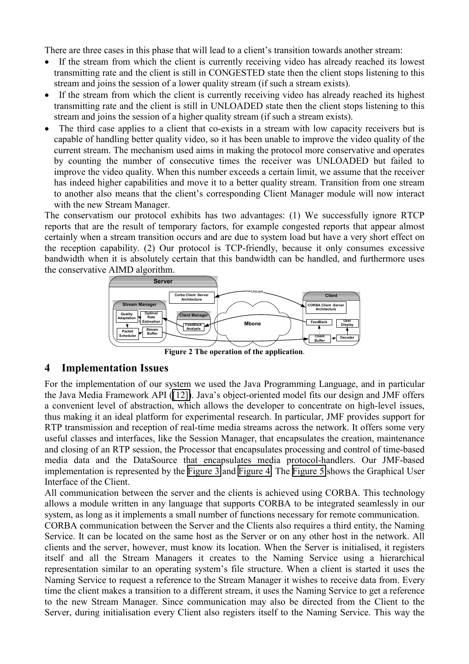There are three cases in this phase that will lead to a client's transition towards another stream:

- If the stream from which the client is currently receiving video has already reached its lowest transmitting rate and the client is still in CONGESTED state then the client stops listening to this stream and joins the session of a lower quality stream (if such a stream exists).
- If the stream from which the client is currently receiving video has already reached its highest transmitting rate and the client is still in UNLOADED state then the client stops listening to this stream and joins the session of a higher quality stream (if such a stream exists).
- The third case applies to a client that co-exists in a stream with low capacity receivers but is capable of handling better quality video, so it has been unable to improve the video quality of the current stream. The mechanism used aims in making the protocol more conservative and operates by counting the number of consecutive times the receiver was UNLOADED but failed to improve the video quality. When this number exceeds a certain limit, we assume that the receiver has indeed higher capabilities and move it to a better quality stream. Transition from one stream to another also means that the client's corresponding Client Manager module will now interact with the new Stream Manager.

The conservatism our protocol exhibits has two advantages: (1) We successfully ignore RTCP reports that are the result of temporary factors, for example congested reports that appear almost certainly when a stream transition occurs and are due to system load but have a very short effect on the reception capability. (2) Our protocol is TCP-friendly, because it only consumes excessive bandwidth when it is absolutely certain that this bandwidth can be handled, and furthermore uses the conservative AIMD algorithm.



**Figure 2 The operation of the application**.

## **4 Implementation Issues**

For the implementation of our system we used the Java Programming Language, and in particular the Java Media Framework API ([\[12\]\)](#page-9-0). Java's object-oriented model fits our design and JMF offers a convenient level of abstraction, which allows the developer to concentrate on high-level issues, thus making it an ideal platform for experimental research. In particular, JMF provides support for RTP transmission and reception of real-time media streams across the network. It offers some very useful classes and interfaces, like the Session Manager, that encapsulates the creation, maintenance and closing of an RTP session, the Processor that encapsulates processing and control of time-based media data and the DataSource that encapsulates media protocol-handlers. Our JMF-based implementation is represented by the [Figure 3](#page-7-0) and [Figure 4.](#page-7-0) The [Figure 5](#page-7-0) shows the Graphical User Interface of the Client.

All communication between the server and the clients is achieved using CORBA. This technology allows a module written in any language that supports CORBA to be integrated seamlessly in our system, as long as it implements a small number of functions necessary for remote communication.

CORBA communication between the Server and the Clients also requires a third entity, the Naming Service. It can be located on the same host as the Server or on any other host in the network. All clients and the server, however, must know its location. When the Server is initialised, it registers itself and all the Stream Managers it creates to the Naming Service using a hierarchical representation similar to an operating system's file structure. When a client is started it uses the Naming Service to request a reference to the Stream Manager it wishes to receive data from. Every time the client makes a transition to a different stream, it uses the Naming Service to get a reference to the new Stream Manager. Since communication may also be directed from the Client to the Server, during initialisation every Client also registers itself to the Naming Service. This way the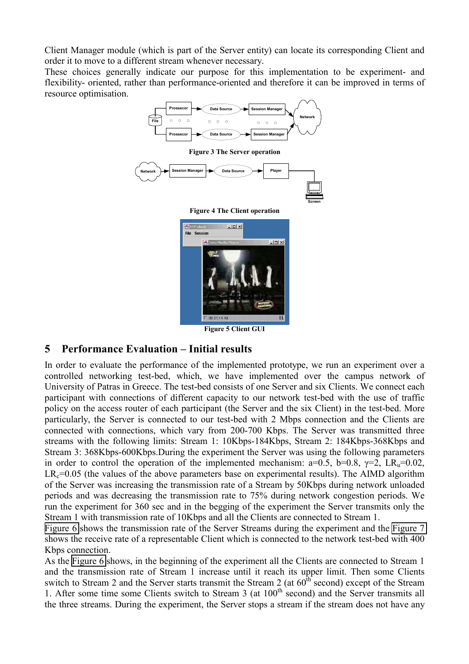<span id="page-7-0"></span>Client Manager module (which is part of the Server entity) can locate its corresponding Client and order it to move to a different stream whenever necessary.

These choices generally indicate our purpose for this implementation to be experiment- and flexibility- oriented, rather than performance-oriented and therefore it can be improved in terms of resource optimisation.



**Figure 5 Client GUI** 

## **5 Performance Evaluation – Initial results**

In order to evaluate the performance of the implemented prototype, we run an experiment over a controlled networking test-bed, which, we have implemented over the campus network of University of Patras in Greece. The test-bed consists of one Server and six Clients. We connect each participant with connections of different capacity to our network test-bed with the use of traffic policy on the access router of each participant (the Server and the six Client) in the test-bed. More particularly, the Server is connected to our test-bed with 2 Mbps connection and the Clients are connected with connections, which vary from 200-700 Kbps. The Server was transmitted three streams with the following limits: Stream 1: 10Kbps-184Kbps, Stream 2: 184Kbps-368Kbps and Stream 3: 368Kbps-600Kbps.During the experiment the Server was using the following parameters in order to control the operation of the implemented mechanism:  $a=0.5$ ,  $b=0.8$ ,  $\gamma=2$ , LR<sub>u</sub>=0.02,  $LR<sub>c</sub>=0.05$  (the values of the above parameters base on experimental results). The AIMD algorithm of the Server was increasing the transmission rate of a Stream by 50Kbps during network unloaded periods and was decreasing the transmission rate to 75% during network congestion periods. We run the experiment for 360 sec and in the begging of the experiment the Server transmits only the Stream 1 with transmission rate of 10Kbps and all the Clients are connected to Stream 1.

[Figure 6](#page-8-0) shows the transmission rate of the Server Streams during the experiment and the [Figure 7](#page-8-0)  shows the receive rate of a representable Client which is connected to the network test-bed with 400 Kbps connection.

As the [Figure 6](#page-8-0) shows, in the beginning of the experiment all the Clients are connected to Stream 1 and the transmission rate of Stream 1 increase until it reach its upper limit. Then some Clients switch to Stream 2 and the Server starts transmit the Stream 2 (at  $60<sup>th</sup>$  second) except of the Stream 1. After some time some Clients switch to Stream 3 (at  $100<sup>th</sup>$  second) and the Server transmits all the three streams. During the experiment, the Server stops a stream if the stream does not have any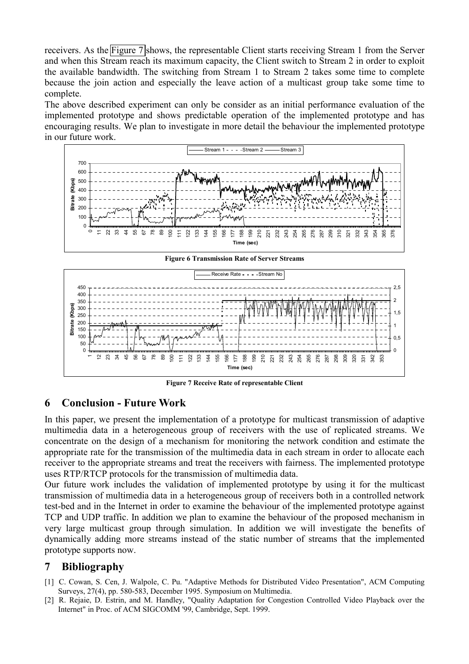<span id="page-8-0"></span>receivers. As the Figure 7 shows, the representable Client starts receiving Stream 1 from the Server and when this Stream reach its maximum capacity, the Client switch to Stream 2 in order to exploit the available bandwidth. The switching from Stream 1 to Stream 2 takes some time to complete because the join action and especially the leave action of a multicast group take some time to complete.

The above described experiment can only be consider as an initial performance evaluation of the implemented prototype and shows predictable operation of the implemented prototype and has encouraging results. We plan to investigate in more detail the behaviour the implemented prototype in our future work.





**Figure 7 Receive Rate of representable Client** 

## **6 Conclusion - Future Work**

In this paper, we present the implementation of a prototype for multicast transmission of adaptive multimedia data in a heterogeneous group of receivers with the use of replicated streams. We concentrate on the design of a mechanism for monitoring the network condition and estimate the appropriate rate for the transmission of the multimedia data in each stream in order to allocate each receiver to the appropriate streams and treat the receivers with fairness. The implemented prototype uses RTP/RTCP protocols for the transmission of multimedia data.

Our future work includes the validation of implemented prototype by using it for the multicast transmission of multimedia data in a heterogeneous group of receivers both in a controlled network test-bed and in the Internet in order to examine the behaviour of the implemented prototype against TCP and UDP traffic. In addition we plan to examine the behaviour of the proposed mechanism in very large multicast group through simulation. In addition we will investigate the benefits of dynamically adding more streams instead of the static number of streams that the implemented prototype supports now.

## **7 Bibliography**

- [1] C. Cowan, S. Cen, J. Walpole, C. Pu. "Adaptive Methods for Distributed Video Presentation", ACM Computing Surveys, 27(4), pp. 580-583, December 1995. Symposium on Multimedia.
- [2] R. Rejaie, D. Estrin, and M. Handley, "Quality Adaptation for Congestion Controlled Video Playback over the Internet" in Proc. of ACM SIGCOMM '99, Cambridge, Sept. 1999.